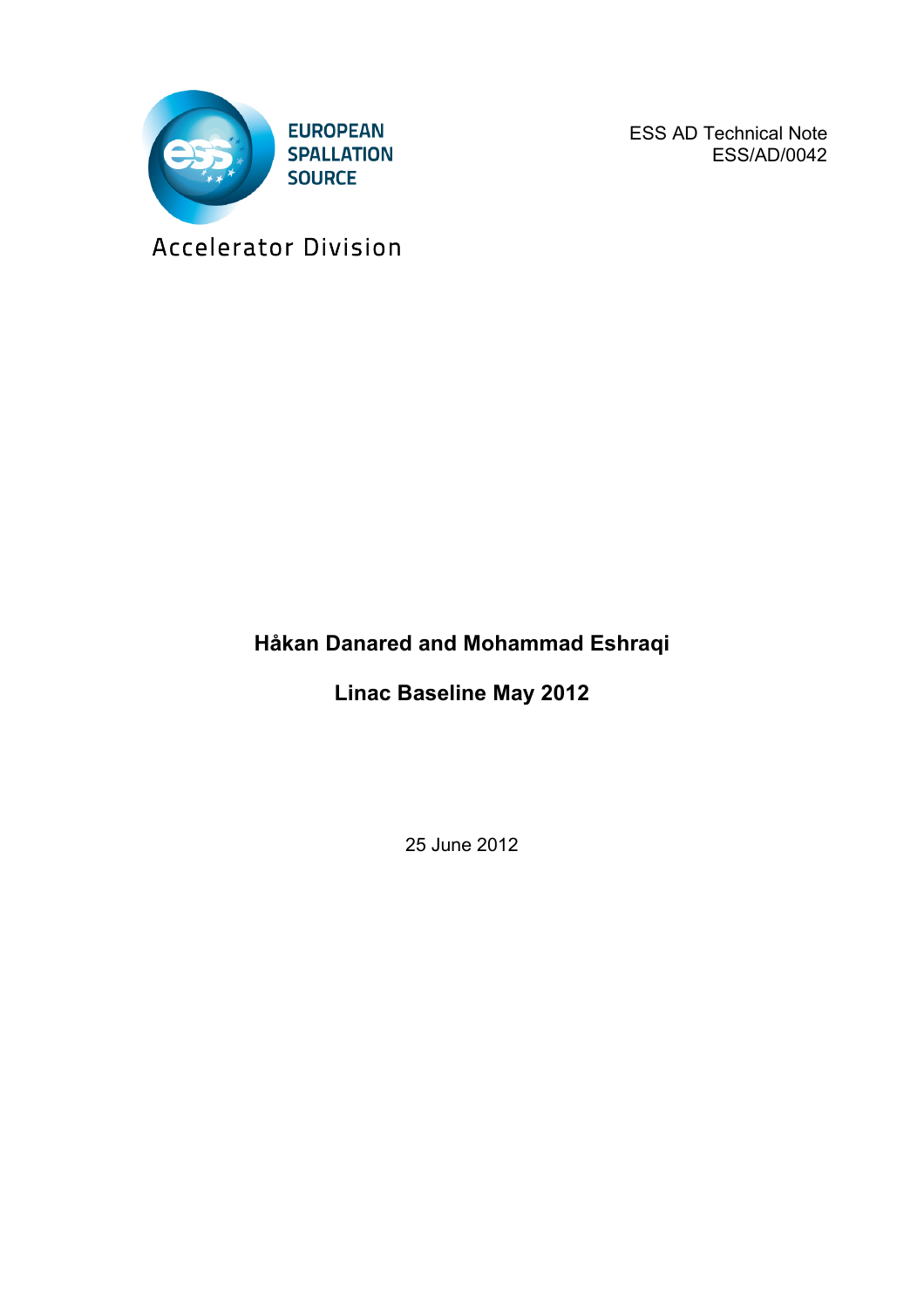

ESS AD Technical Note ESS/AD/0042

Accelerator Division

## **Håkan Danared and Mohammad Eshraqi**

**Linac Baseline May 2012**

25 June 2012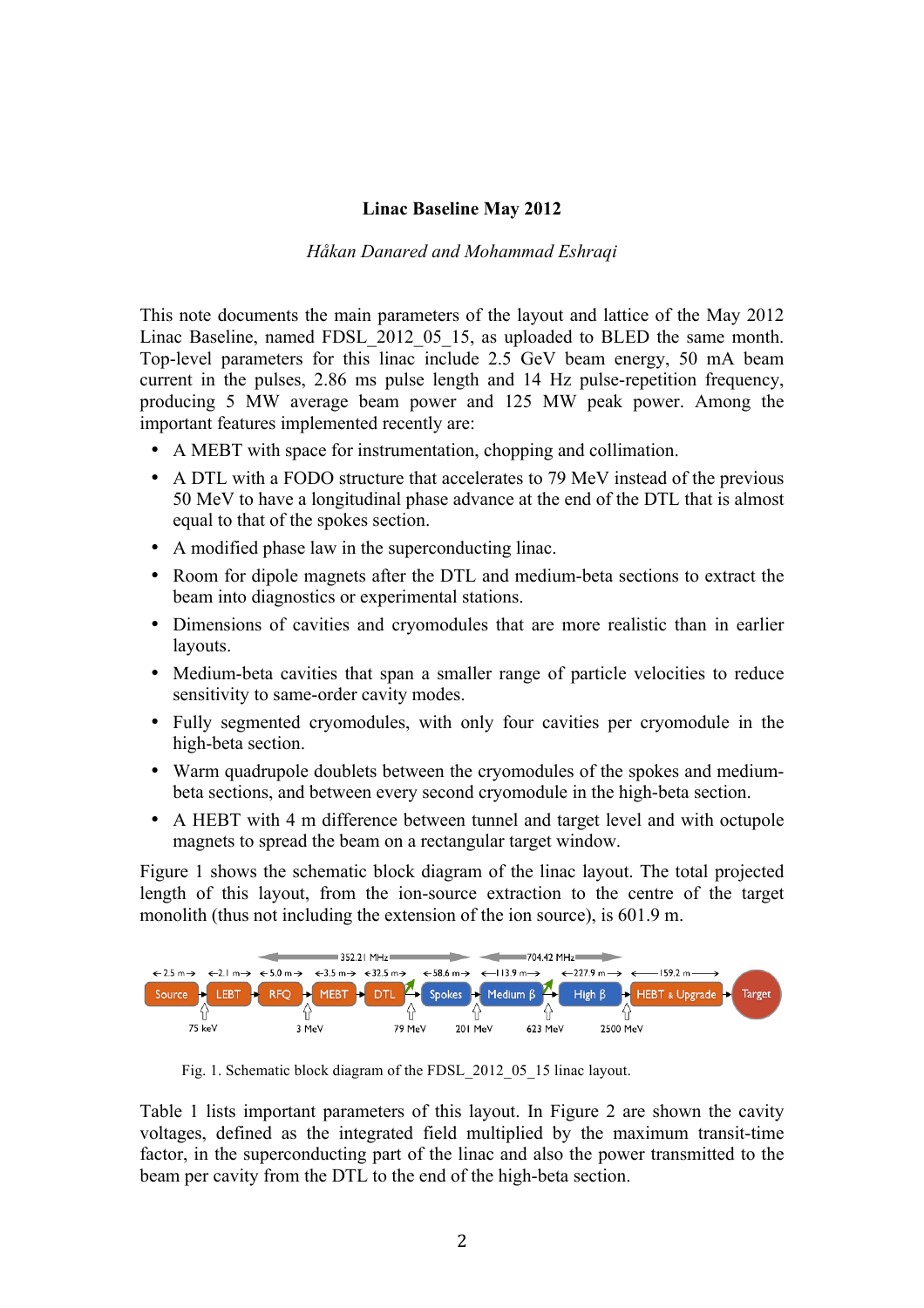## **Linac Baseline May 2012**

## *Håkan Danared and Mohammad Eshraqi*

This note documents the main parameters of the layout and lattice of the May 2012 Linac Baseline, named FDSL 2012 05 15, as uploaded to BLED the same month. Top-level parameters for this linac include 2.5 GeV beam energy, 50 mA beam current in the pulses, 2.86 ms pulse length and 14 Hz pulse-repetition frequency, producing 5 MW average beam power and 125 MW peak power. Among the important features implemented recently are:

- A MEBT with space for instrumentation, chopping and collimation.
- A DTL with a FODO structure that accelerates to 79 MeV instead of the previous 50 MeV to have a longitudinal phase advance at the end of the DTL that is almost equal to that of the spokes section.
- A modified phase law in the superconducting linac.
- Room for dipole magnets after the DTL and medium-beta sections to extract the beam into diagnostics or experimental stations.
- Dimensions of cavities and cryomodules that are more realistic than in earlier layouts.
- Medium-beta cavities that span a smaller range of particle velocities to reduce sensitivity to same-order cavity modes.
- Fully segmented cryomodules, with only four cavities per cryomodule in the high-beta section.
- Warm quadrupole doublets between the cryomodules of the spokes and mediumbeta sections, and between every second cryomodule in the high-beta section.
- A HEBT with 4 m difference between tunnel and target level and with octupole magnets to spread the beam on a rectangular target window.

Figure 1 shows the schematic block diagram of the linac layout. The total projected length of this layout, from the ion-source extraction to the centre of the target monolith (thus not including the extension of the ion source), is 601.9 m.



Fig. 1. Schematic block diagram of the FDSL 2012 05 15 linac layout.

Table 1 lists important parameters of this layout. In Figure 2 are shown the cavity voltages, defined as the integrated field multiplied by the maximum transit-time factor, in the superconducting part of the linac and also the power transmitted to the beam per cavity from the DTL to the end of the high-beta section.